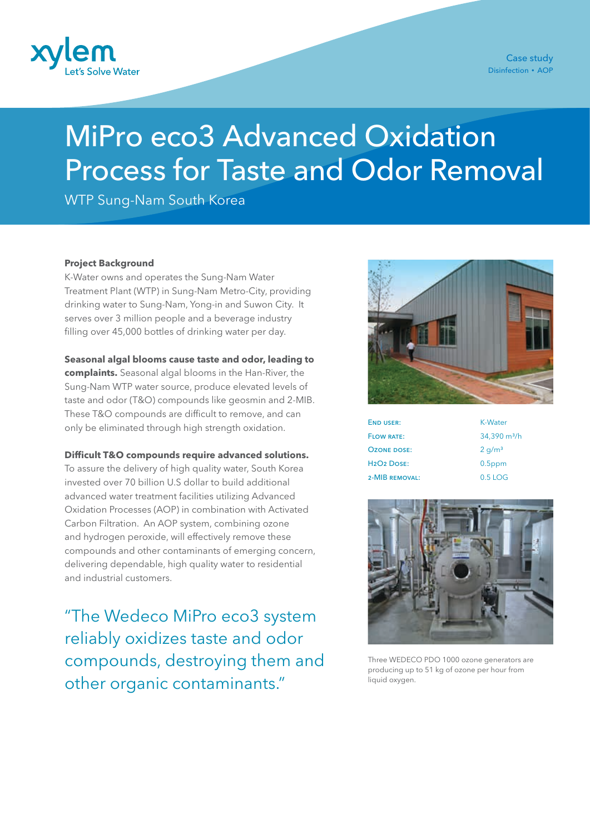

# MiPro eco3 Advanced Oxidation Process for Taste and Odor Removal

WTP Sung-Nam South Korea

#### **Project Background**

K-Water owns and operates the Sung-Nam Water Treatment Plant (WTP) in Sung-Nam Metro-City, providing drinking water to Sung-Nam, Yong-in and Suwon City. It serves over 3 million people and a beverage industry filling over 45,000 bottles of drinking water per day.

#### **Seasonal algal blooms cause taste and odor, leading to**

**complaints.** Seasonal algal blooms in the Han-River, the Sung-Nam WTP water source, produce elevated levels of taste and odor (T&O) compounds like geosmin and 2-MIB. These T&O compounds are difficult to remove, and can only be eliminated through high strength oxidation.

#### **Difficult T&O compounds require advanced solutions.**

To assure the delivery of high quality water, South Korea invested over 70 billion U.S dollar to build additional advanced water treatment facilities utilizing Advanced Oxidation Processes (AOP) in combination with Activated Carbon Filtration. An AOP system, combining ozone and hydrogen peroxide, will effectively remove these compounds and other contaminants of emerging concern, delivering dependable, high quality water to residential and industrial customers.

"The Wedeco MiPro eco3 system reliably oxidizes taste and odor compounds, destroying them and other organic contaminants."



| <b>END USER:</b>                    | K-Water                  |
|-------------------------------------|--------------------------|
| <b>FLOW RATE:</b>                   | 34,390 m <sup>3</sup> /h |
| <b>OZONE DOSE:</b>                  | 2 q/m <sup>3</sup>       |
| H <sub>2</sub> O <sub>2</sub> DOSE: | $0.5$ ppm                |
| 2-MIB REMOVAL:                      | $0.5$ LOG                |
|                                     |                          |



Three WEDECO PDO 1000 ozone generators are producing up to 51 kg of ozone per hour from liquid oxygen.